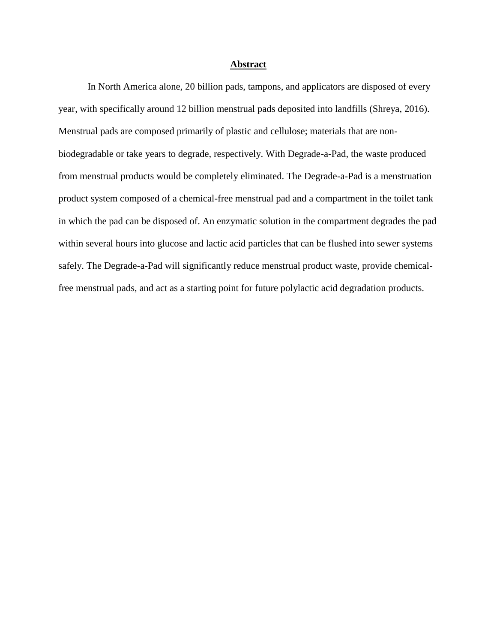## **Abstract**

In North America alone, 20 billion pads, tampons, and applicators are disposed of every year, with specifically around 12 billion menstrual pads deposited into landfills (Shreya, 2016). Menstrual pads are composed primarily of plastic and cellulose; materials that are nonbiodegradable or take years to degrade, respectively. With Degrade-a-Pad, the waste produced from menstrual products would be completely eliminated. The Degrade-a-Pad is a menstruation product system composed of a chemical-free menstrual pad and a compartment in the toilet tank in which the pad can be disposed of. An enzymatic solution in the compartment degrades the pad within several hours into glucose and lactic acid particles that can be flushed into sewer systems safely. The Degrade-a-Pad will significantly reduce menstrual product waste, provide chemicalfree menstrual pads, and act as a starting point for future polylactic acid degradation products.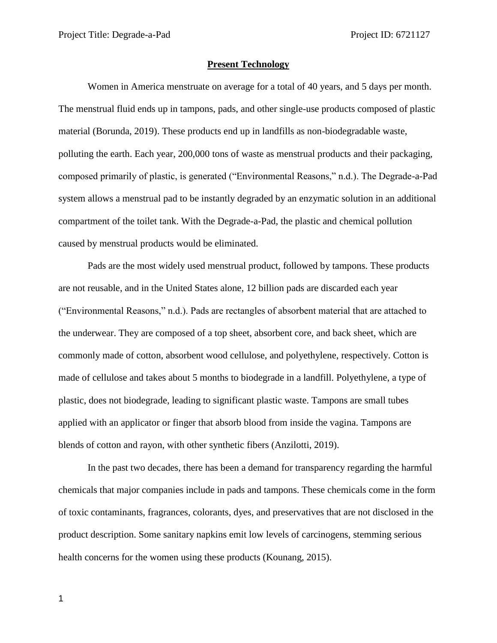# **Present Technology**

Women in America menstruate on average for a total of 40 years, and 5 days per month. The menstrual fluid ends up in tampons, pads, and other single-use products composed of plastic material (Borunda, 2019). These products end up in landfills as non-biodegradable waste, polluting the earth. Each year, 200,000 tons of waste as menstrual products and their packaging, composed primarily of plastic, is generated ("Environmental Reasons," n.d.). The Degrade-a-Pad system allows a menstrual pad to be instantly degraded by an enzymatic solution in an additional compartment of the toilet tank. With the Degrade-a-Pad, the plastic and chemical pollution caused by menstrual products would be eliminated.

Pads are the most widely used menstrual product, followed by tampons. These products are not reusable, and in the United States alone, 12 billion pads are discarded each year ("Environmental Reasons," n.d.). Pads are rectangles of absorbent material that are attached to the underwear. They are composed of a top sheet, absorbent core, and back sheet, which are commonly made of cotton, absorbent wood cellulose, and polyethylene, respectively. Cotton is made of cellulose and takes about 5 months to biodegrade in a landfill. Polyethylene, a type of plastic, does not biodegrade, leading to significant plastic waste. Tampons are small tubes applied with an applicator or finger that absorb blood from inside the vagina. Tampons are blends of cotton and rayon, with other synthetic fibers (Anzilotti, 2019).

In the past two decades, there has been a demand for transparency regarding the harmful chemicals that major companies include in pads and tampons. These chemicals come in the form of toxic contaminants, fragrances, colorants, dyes, and preservatives that are not disclosed in the product description. Some sanitary napkins emit low levels of carcinogens, stemming serious health concerns for the women using these products (Kounang, 2015).

1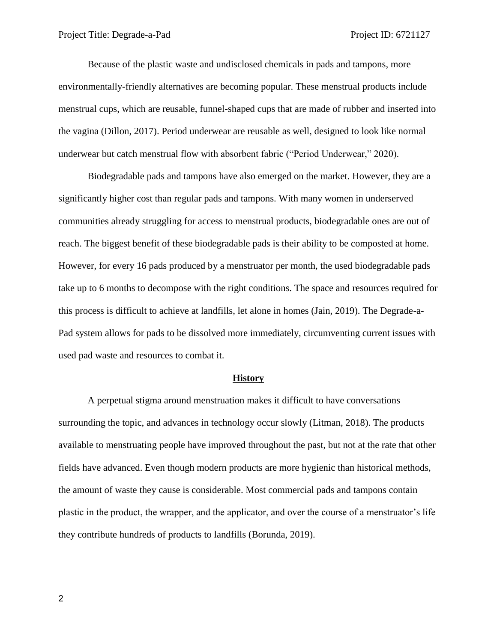Because of the plastic waste and undisclosed chemicals in pads and tampons, more environmentally-friendly alternatives are becoming popular. These menstrual products include menstrual cups, which are reusable, funnel-shaped cups that are made of rubber and inserted into the vagina (Dillon, 2017). Period underwear are reusable as well, designed to look like normal underwear but catch menstrual flow with absorbent fabric ("Period Underwear," 2020).

Biodegradable pads and tampons have also emerged on the market. However, they are a significantly higher cost than regular pads and tampons. With many women in underserved communities already struggling for access to menstrual products, biodegradable ones are out of reach. The biggest benefit of these biodegradable pads is their ability to be composted at home. However, for every 16 pads produced by a menstruator per month, the used biodegradable pads take up to 6 months to decompose with the right conditions. The space and resources required for this process is difficult to achieve at landfills, let alone in homes (Jain, 2019). The Degrade-a-Pad system allows for pads to be dissolved more immediately, circumventing current issues with used pad waste and resources to combat it.

#### **History**

A perpetual stigma around menstruation makes it difficult to have conversations surrounding the topic, and advances in technology occur slowly (Litman, 2018). The products available to menstruating people have improved throughout the past, but not at the rate that other fields have advanced. Even though modern products are more hygienic than historical methods, the amount of waste they cause is considerable. Most commercial pads and tampons contain plastic in the product, the wrapper, and the applicator, and over the course of a menstruator's life they contribute hundreds of products to landfills (Borunda, 2019).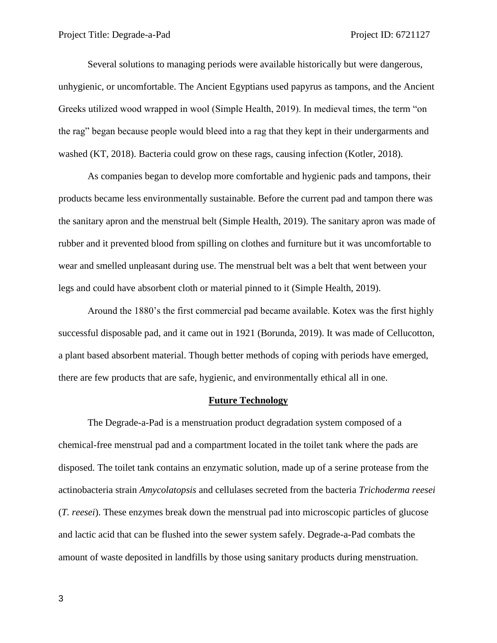Several solutions to managing periods were available historically but were dangerous, unhygienic, or uncomfortable. The Ancient Egyptians used papyrus as tampons, and the Ancient Greeks utilized wood wrapped in wool (Simple Health, 2019). In medieval times, the term "on the rag" began because people would bleed into a rag that they kept in their undergarments and washed (KT, 2018). Bacteria could grow on these rags, causing infection (Kotler, 2018).

As companies began to develop more comfortable and hygienic pads and tampons, their products became less environmentally sustainable. Before the current pad and tampon there was the sanitary apron and the menstrual belt (Simple Health, 2019). The sanitary apron was made of rubber and it prevented blood from spilling on clothes and furniture but it was uncomfortable to wear and smelled unpleasant during use. The menstrual belt was a belt that went between your legs and could have absorbent cloth or material pinned to it (Simple Health, 2019).

Around the 1880's the first commercial pad became available. Kotex was the first highly successful disposable pad, and it came out in 1921 (Borunda, 2019). It was made of Cellucotton, a plant based absorbent material. Though better methods of coping with periods have emerged, there are few products that are safe, hygienic, and environmentally ethical all in one.

## **Future Technology**

The Degrade-a-Pad is a menstruation product degradation system composed of a chemical-free menstrual pad and a compartment located in the toilet tank where the pads are disposed. The toilet tank contains an enzymatic solution, made up of a serine protease from the actinobacteria strain *Amycolatopsis* and cellulases secreted from the bacteria *Trichoderma reesei*  (*T. reesei*). These enzymes break down the menstrual pad into microscopic particles of glucose and lactic acid that can be flushed into the sewer system safely. Degrade-a-Pad combats the amount of waste deposited in landfills by those using sanitary products during menstruation.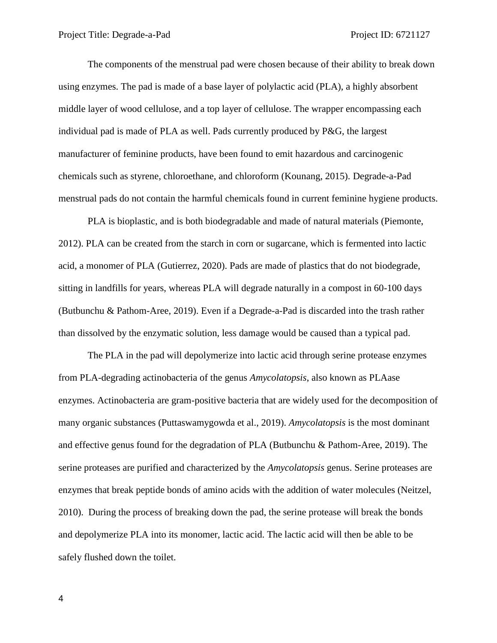The components of the menstrual pad were chosen because of their ability to break down using enzymes. The pad is made of a base layer of polylactic acid (PLA), a highly absorbent middle layer of wood cellulose, and a top layer of cellulose. The wrapper encompassing each individual pad is made of PLA as well. Pads currently produced by P&G, the largest manufacturer of feminine products, have been found to emit hazardous and carcinogenic chemicals such as styrene, chloroethane, and chloroform (Kounang, 2015). Degrade-a-Pad menstrual pads do not contain the harmful chemicals found in current feminine hygiene products.

PLA is bioplastic, and is both biodegradable and made of natural materials (Piemonte, 2012). PLA can be created from the starch in corn or sugarcane, which is fermented into lactic acid, a monomer of PLA (Gutierrez, 2020). Pads are made of plastics that do not biodegrade, sitting in landfills for years, whereas PLA will degrade naturally in a compost in 60-100 days (Butbunchu & Pathom-Aree, 2019). Even if a Degrade-a-Pad is discarded into the trash rather than dissolved by the enzymatic solution, less damage would be caused than a typical pad.

The PLA in the pad will depolymerize into lactic acid through serine protease enzymes from PLA-degrading actinobacteria of the genus *Amycolatopsis*, also known as PLAase enzymes. Actinobacteria are gram-positive bacteria that are widely used for the decomposition of many organic substances (Puttaswamygowda et al., 2019). *Amycolatopsis* is the most dominant and effective genus found for the degradation of PLA (Butbunchu & Pathom-Aree, 2019). The serine proteases are purified and characterized by the *Amycolatopsis* genus. Serine proteases are enzymes that break peptide bonds of amino acids with the addition of water molecules (Neitzel, 2010). During the process of breaking down the pad, the serine protease will break the bonds and depolymerize PLA into its monomer, lactic acid. The lactic acid will then be able to be safely flushed down the toilet.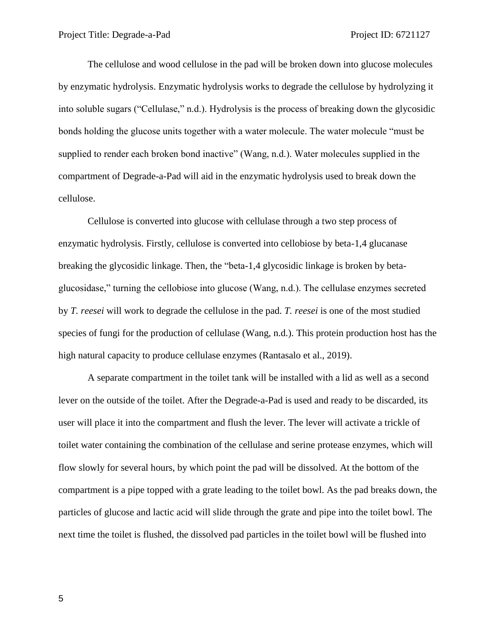The cellulose and wood cellulose in the pad will be broken down into glucose molecules by enzymatic hydrolysis. Enzymatic hydrolysis works to degrade the cellulose by hydrolyzing it into soluble sugars ("Cellulase," n.d.). Hydrolysis is the process of breaking down the glycosidic bonds holding the glucose units together with a water molecule. The water molecule "must be supplied to render each broken bond inactive" (Wang, n.d.). Water molecules supplied in the compartment of Degrade-a-Pad will aid in the enzymatic hydrolysis used to break down the cellulose.

Cellulose is converted into glucose with cellulase through a two step process of enzymatic hydrolysis. Firstly, cellulose is converted into cellobiose by beta-1,4 glucanase breaking the glycosidic linkage. Then, the "beta-1,4 glycosidic linkage is broken by betaglucosidase," turning the cellobiose into glucose (Wang, n.d.). The cellulase enzymes secreted by *T. reesei* will work to degrade the cellulose in the pad. *T. reesei* is one of the most studied species of fungi for the production of cellulase (Wang, n.d.). This protein production host has the high natural capacity to produce cellulase enzymes (Rantasalo et al., 2019).

A separate compartment in the toilet tank will be installed with a lid as well as a second lever on the outside of the toilet. After the Degrade-a-Pad is used and ready to be discarded, its user will place it into the compartment and flush the lever. The lever will activate a trickle of toilet water containing the combination of the cellulase and serine protease enzymes, which will flow slowly for several hours, by which point the pad will be dissolved. At the bottom of the compartment is a pipe topped with a grate leading to the toilet bowl. As the pad breaks down, the particles of glucose and lactic acid will slide through the grate and pipe into the toilet bowl. The next time the toilet is flushed, the dissolved pad particles in the toilet bowl will be flushed into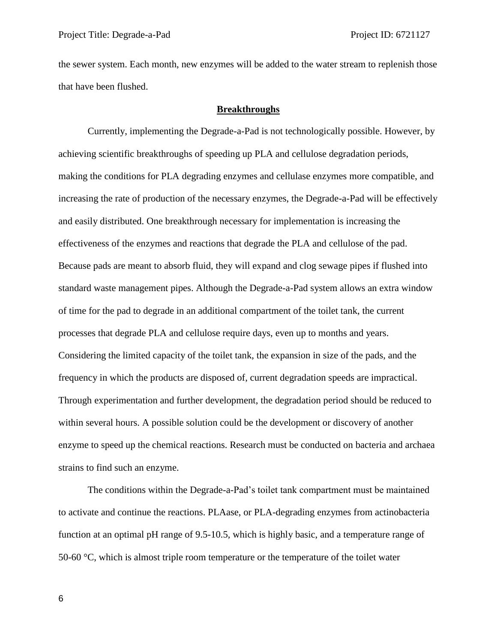the sewer system. Each month, new enzymes will be added to the water stream to replenish those that have been flushed.

# **Breakthroughs**

Currently, implementing the Degrade-a-Pad is not technologically possible. However, by achieving scientific breakthroughs of speeding up PLA and cellulose degradation periods, making the conditions for PLA degrading enzymes and cellulase enzymes more compatible, and increasing the rate of production of the necessary enzymes, the Degrade-a-Pad will be effectively and easily distributed. One breakthrough necessary for implementation is increasing the effectiveness of the enzymes and reactions that degrade the PLA and cellulose of the pad. Because pads are meant to absorb fluid, they will expand and clog sewage pipes if flushed into standard waste management pipes. Although the Degrade-a-Pad system allows an extra window of time for the pad to degrade in an additional compartment of the toilet tank, the current processes that degrade PLA and cellulose require days, even up to months and years. Considering the limited capacity of the toilet tank, the expansion in size of the pads, and the frequency in which the products are disposed of, current degradation speeds are impractical. Through experimentation and further development, the degradation period should be reduced to within several hours. A possible solution could be the development or discovery of another enzyme to speed up the chemical reactions. Research must be conducted on bacteria and archaea strains to find such an enzyme.

The conditions within the Degrade-a-Pad's toilet tank compartment must be maintained to activate and continue the reactions. PLAase, or PLA-degrading enzymes from actinobacteria function at an optimal pH range of 9.5-10.5, which is highly basic, and a temperature range of 50-60  $\degree$ C, which is almost triple room temperature or the temperature of the toilet water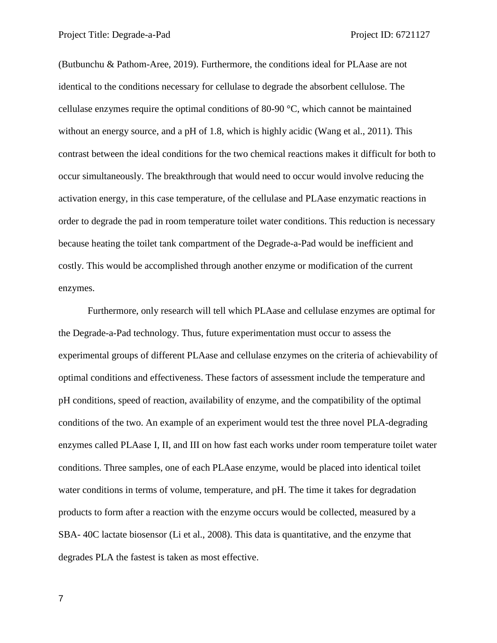(Butbunchu & Pathom-Aree, 2019). Furthermore, the conditions ideal for PLAase are not identical to the conditions necessary for cellulase to degrade the absorbent cellulose. The cellulase enzymes require the optimal conditions of 80-90 °C, which cannot be maintained without an energy source, and a pH of 1.8, which is highly acidic (Wang et al., 2011). This contrast between the ideal conditions for the two chemical reactions makes it difficult for both to occur simultaneously. The breakthrough that would need to occur would involve reducing the activation energy, in this case temperature, of the cellulase and PLAase enzymatic reactions in order to degrade the pad in room temperature toilet water conditions. This reduction is necessary because heating the toilet tank compartment of the Degrade-a-Pad would be inefficient and costly. This would be accomplished through another enzyme or modification of the current enzymes.

Furthermore, only research will tell which PLAase and cellulase enzymes are optimal for the Degrade-a-Pad technology. Thus, future experimentation must occur to assess the experimental groups of different PLAase and cellulase enzymes on the criteria of achievability of optimal conditions and effectiveness. These factors of assessment include the temperature and pH conditions, speed of reaction, availability of enzyme, and the compatibility of the optimal conditions of the two. An example of an experiment would test the three novel PLA-degrading enzymes called PLAase I, II, and III on how fast each works under room temperature toilet water conditions. Three samples, one of each PLAase enzyme, would be placed into identical toilet water conditions in terms of volume, temperature, and pH. The time it takes for degradation products to form after a reaction with the enzyme occurs would be collected, measured by a SBA- 40C lactate biosensor (Li et al., 2008). This data is quantitative, and the enzyme that degrades PLA the fastest is taken as most effective.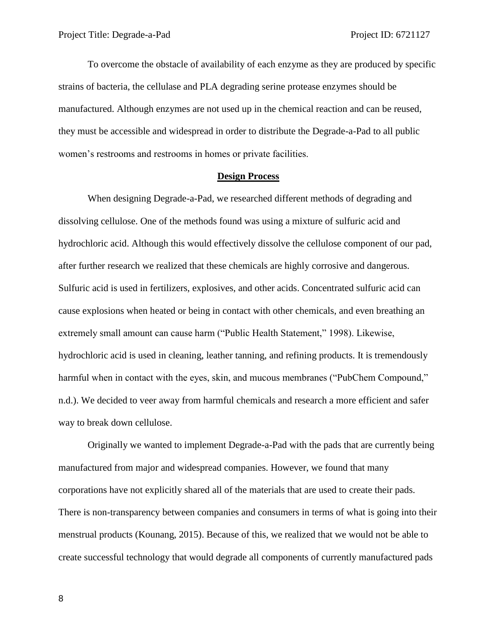To overcome the obstacle of availability of each enzyme as they are produced by specific strains of bacteria, the cellulase and PLA degrading serine protease enzymes should be manufactured. Although enzymes are not used up in the chemical reaction and can be reused, they must be accessible and widespread in order to distribute the Degrade-a-Pad to all public women's restrooms and restrooms in homes or private facilities.

#### **Design Process**

When designing Degrade-a-Pad, we researched different methods of degrading and dissolving cellulose. One of the methods found was using a mixture of sulfuric acid and hydrochloric acid. Although this would effectively dissolve the cellulose component of our pad, after further research we realized that these chemicals are highly corrosive and dangerous. Sulfuric acid is used in fertilizers, explosives, and other acids. Concentrated sulfuric acid can cause explosions when heated or being in contact with other chemicals, and even breathing an extremely small amount can cause harm ("Public Health Statement," 1998). Likewise, hydrochloric acid is used in cleaning, leather tanning, and refining products. It is tremendously harmful when in contact with the eyes, skin, and mucous membranes ("PubChem Compound," n.d.). We decided to veer away from harmful chemicals and research a more efficient and safer way to break down cellulose.

Originally we wanted to implement Degrade-a-Pad with the pads that are currently being manufactured from major and widespread companies. However, we found that many corporations have not explicitly shared all of the materials that are used to create their pads. There is non-transparency between companies and consumers in terms of what is going into their menstrual products (Kounang, 2015). Because of this, we realized that we would not be able to create successful technology that would degrade all components of currently manufactured pads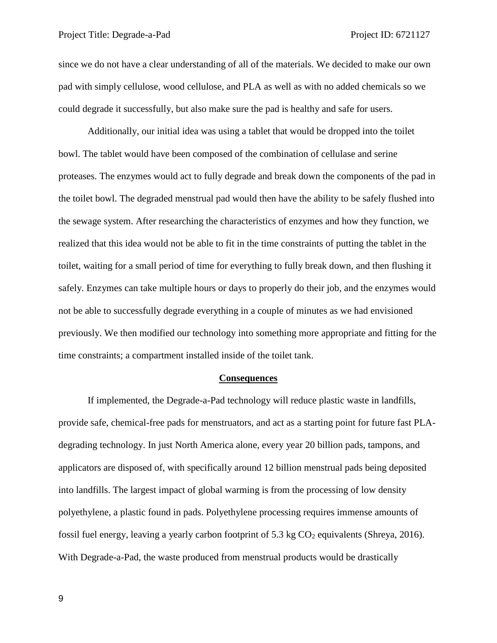since we do not have a clear understanding of all of the materials. We decided to make our own pad with simply cellulose, wood cellulose, and PLA as well as with no added chemicals so we could degrade it successfully, but also make sure the pad is healthy and safe for users.

Additionally, our initial idea was using a tablet that would be dropped into the toilet bowl. The tablet would have been composed of the combination of cellulase and serine proteases. The enzymes would act to fully degrade and break down the components of the pad in the toilet bowl. The degraded menstrual pad would then have the ability to be safely flushed into the sewage system. After researching the characteristics of enzymes and how they function, we realized that this idea would not be able to fit in the time constraints of putting the tablet in the toilet, waiting for a small period of time for everything to fully break down, and then flushing it safely. Enzymes can take multiple hours or days to properly do their job, and the enzymes would not be able to successfully degrade everything in a couple of minutes as we had envisioned previously. We then modified our technology into something more appropriate and fitting for the time constraints; a compartment installed inside of the toilet tank.

## **Consequences**

If implemented, the Degrade-a-Pad technology will reduce plastic waste in landfills, provide safe, chemical-free pads for menstruators, and act as a starting point for future fast PLAdegrading technology. In just North America alone, every year 20 billion pads, tampons, and applicators are disposed of, with specifically around 12 billion menstrual pads being deposited into landfills. The largest impact of global warming is from the processing of low density polyethylene, a plastic found in pads. Polyethylene processing requires immense amounts of fossil fuel energy, leaving a yearly carbon footprint of 5.3 kg  $CO<sub>2</sub>$  equivalents (Shreya, 2016). With Degrade-a-Pad, the waste produced from menstrual products would be drastically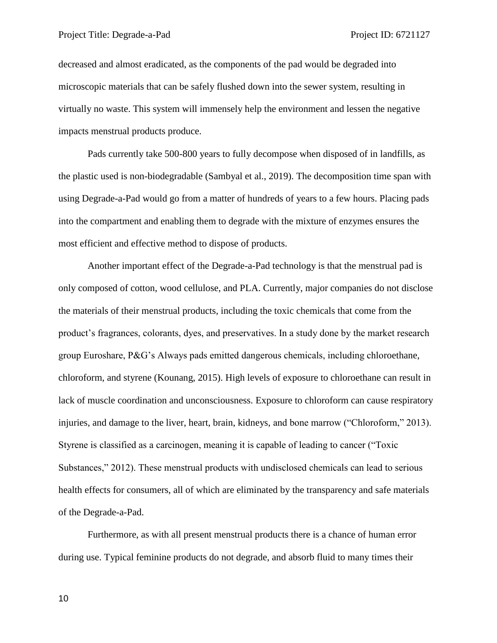decreased and almost eradicated, as the components of the pad would be degraded into microscopic materials that can be safely flushed down into the sewer system, resulting in virtually no waste. This system will immensely help the environment and lessen the negative impacts menstrual products produce.

Pads currently take 500-800 years to fully decompose when disposed of in landfills, as the plastic used is non-biodegradable (Sambyal et al., 2019). The decomposition time span with using Degrade-a-Pad would go from a matter of hundreds of years to a few hours. Placing pads into the compartment and enabling them to degrade with the mixture of enzymes ensures the most efficient and effective method to dispose of products.

Another important effect of the Degrade-a-Pad technology is that the menstrual pad is only composed of cotton, wood cellulose, and PLA. Currently, major companies do not disclose the materials of their menstrual products, including the toxic chemicals that come from the product's fragrances, colorants, dyes, and preservatives. In a study done by the market research group Euroshare, P&G's Always pads emitted dangerous chemicals, including chloroethane, chloroform, and styrene (Kounang, 2015). High levels of exposure to chloroethane can result in lack of muscle coordination and unconsciousness. Exposure to chloroform can cause respiratory injuries, and damage to the liver, heart, brain, kidneys, and bone marrow ("Chloroform," 2013). Styrene is classified as a carcinogen, meaning it is capable of leading to cancer ("Toxic Substances," 2012). These menstrual products with undisclosed chemicals can lead to serious health effects for consumers, all of which are eliminated by the transparency and safe materials of the Degrade-a-Pad.

Furthermore, as with all present menstrual products there is a chance of human error during use. Typical feminine products do not degrade, and absorb fluid to many times their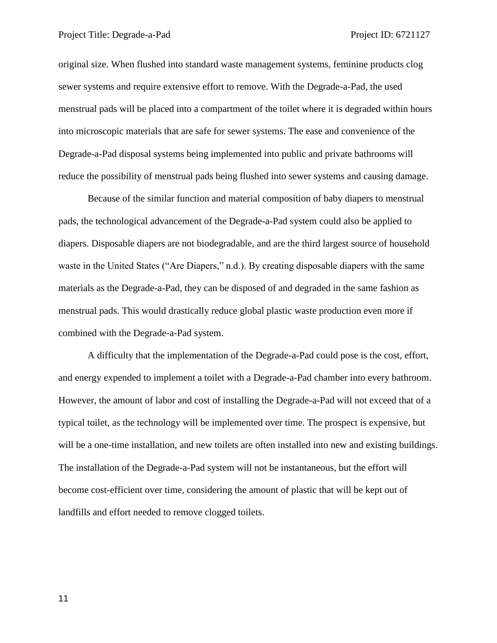original size. When flushed into standard waste management systems, feminine products clog sewer systems and require extensive effort to remove. With the Degrade-a-Pad, the used menstrual pads will be placed into a compartment of the toilet where it is degraded within hours into microscopic materials that are safe for sewer systems. The ease and convenience of the Degrade-a-Pad disposal systems being implemented into public and private bathrooms will reduce the possibility of menstrual pads being flushed into sewer systems and causing damage.

Because of the similar function and material composition of baby diapers to menstrual pads, the technological advancement of the Degrade-a-Pad system could also be applied to diapers. Disposable diapers are not biodegradable, and are the third largest source of household waste in the United States ("Are Diapers," n.d.). By creating disposable diapers with the same materials as the Degrade-a-Pad, they can be disposed of and degraded in the same fashion as menstrual pads. This would drastically reduce global plastic waste production even more if combined with the Degrade-a-Pad system.

A difficulty that the implementation of the Degrade-a-Pad could pose is the cost, effort, and energy expended to implement a toilet with a Degrade-a-Pad chamber into every bathroom. However, the amount of labor and cost of installing the Degrade-a-Pad will not exceed that of a typical toilet, as the technology will be implemented over time. The prospect is expensive, but will be a one-time installation, and new toilets are often installed into new and existing buildings. The installation of the Degrade-a-Pad system will not be instantaneous, but the effort will become cost-efficient over time, considering the amount of plastic that will be kept out of landfills and effort needed to remove clogged toilets.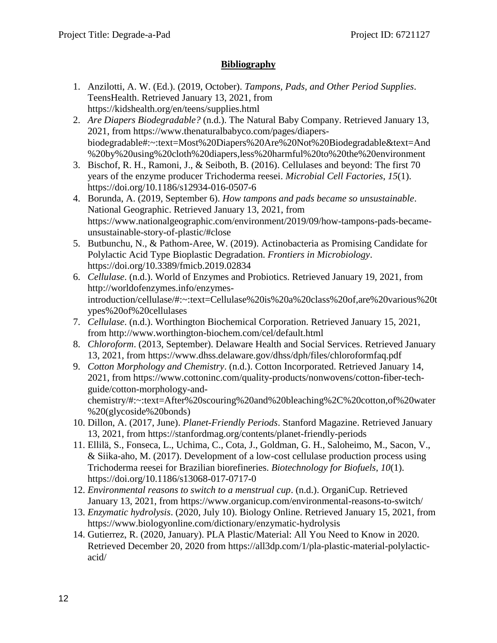# **Bibliography**

- 1. Anzilotti, A. W. (Ed.). (2019, October). *Tampons, Pads, and Other Period Supplies*. TeensHealth. Retrieved January 13, 2021, from https://kidshealth.org/en/teens/supplies.html
- 2. *Are Diapers Biodegradable?* (n.d.). The Natural Baby Company. Retrieved January 13, 2021, from https://www.thenaturalbabyco.com/pages/diapersbiodegradable#:~:text=Most%20Diapers%20Are%20Not%20Biodegradable&text=And %20by%20using%20cloth%20diapers,less%20harmful%20to%20the%20environment
- 3. Bischof, R. H., Ramoni, J., & Seiboth, B. (2016). Cellulases and beyond: The first 70 years of the enzyme producer Trichoderma reesei. *Microbial Cell Factories*, *15*(1). https://doi.org/10.1186/s12934-016-0507-6
- 4. Borunda, A. (2019, September 6). *How tampons and pads became so unsustainable*. National Geographic. Retrieved January 13, 2021, from https://www.nationalgeographic.com/environment/2019/09/how-tampons-pads-becameunsustainable-story-of-plastic/#close
- 5. Butbunchu, N., & Pathom-Aree, W. (2019). Actinobacteria as Promising Candidate for Polylactic Acid Type Bioplastic Degradation. *Frontiers in Microbiology*. https://doi.org/10.3389/fmicb.2019.02834
- 6. *Cellulase*. (n.d.). World of Enzymes and Probiotics. Retrieved January 19, 2021, from http://worldofenzymes.info/enzymesintroduction/cellulase/#:~:text=Cellulase%20is%20a%20class%20of,are%20various%20t ypes%20of%20cellulases
- 7. *Cellulase*. (n.d.). Worthington Biochemical Corporation. Retrieved January 15, 2021, from http://www.worthington-biochem.com/cel/default.html
- 8. *Chloroform*. (2013, September). Delaware Health and Social Services. Retrieved January 13, 2021, from https://www.dhss.delaware.gov/dhss/dph/files/chloroformfaq.pdf
- 9. *Cotton Morphology and Chemistry*. (n.d.). Cotton Incorporated. Retrieved January 14, 2021, from https://www.cottoninc.com/quality-products/nonwovens/cotton-fiber-techguide/cotton-morphology-andchemistry/#:~:text=After%20scouring%20and%20bleaching%2C%20cotton,of%20water
- %20(glycoside%20bonds) 10. Dillon, A. (2017, June). *Planet-Friendly Periods*. Stanford Magazine. Retrieved January 13, 2021, from https://stanfordmag.org/contents/planet-friendly-periods
- 11. Ellilä, S., Fonseca, L., Uchima, C., Cota, J., Goldman, G. H., Saloheimo, M., Sacon, V., & Siika-aho, M. (2017). Development of a low-cost cellulase production process using Trichoderma reesei for Brazilian biorefineries. *Biotechnology for Biofuels*, *10*(1). https://doi.org/10.1186/s13068-017-0717-0
- 12. *Environmental reasons to switch to a menstrual cup*. (n.d.). OrganiCup. Retrieved January 13, 2021, from https://www.organicup.com/environmental-reasons-to-switch/
- 13. *Enzymatic hydrolysis*. (2020, July 10). Biology Online. Retrieved January 15, 2021, from https://www.biologyonline.com/dictionary/enzymatic-hydrolysis
- 14. Gutierrez, R. (2020, January). PLA Plastic/Material: All You Need to Know in 2020. Retrieved December 20, 2020 from https://all3dp.com/1/pla-plastic-material-polylacticacid/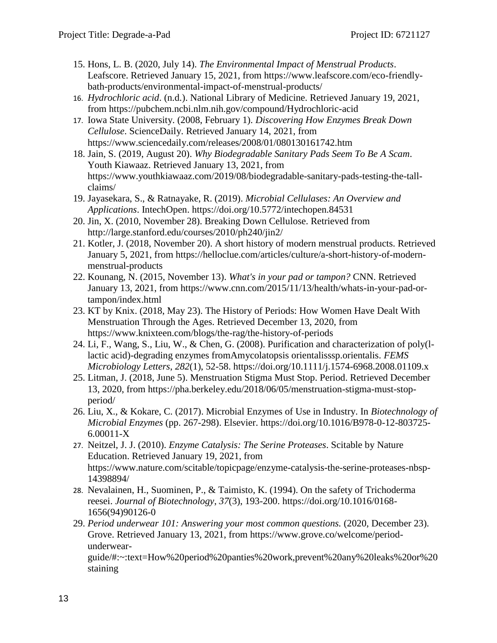- 15. Hons, L. B. (2020, July 14). *The Environmental Impact of Menstrual Products*. Leafscore. Retrieved January 15, 2021, from https://www.leafscore.com/eco-friendlybath-products/environmental-impact-of-menstrual-products/
- 16. *Hydrochloric acid*. (n.d.). National Library of Medicine. Retrieved January 19, 2021, from https://pubchem.ncbi.nlm.nih.gov/compound/Hydrochloric-acid
- 17. Iowa State University. (2008, February 1). *Discovering How Enzymes Break Down Cellulose*. ScienceDaily. Retrieved January 14, 2021, from https://www.sciencedaily.com/releases/2008/01/080130161742.htm
- 18. Jain, S. (2019, August 20). *Why Biodegradable Sanitary Pads Seem To Be A Scam*. Youth Kiawaaz. Retrieved January 13, 2021, from https://www.youthkiawaaz.com/2019/08/biodegradable-sanitary-pads-testing-the-tallclaims/
- 19. Jayasekara, S., & Ratnayake, R. (2019). *Microbial Cellulases: An Overview and Applications*. IntechOpen. https://doi.org/10.5772/intechopen.84531
- 20. Jin, X. (2010, November 28). Breaking Down Cellulose. Retrieved from http://large.stanford.edu/courses/2010/ph240/jin2/
- 21. Kotler, J. (2018, November 20). A short history of modern menstrual products. Retrieved January 5, 2021, from https://helloclue.com/articles/culture/a-short-history-of-modernmenstrual-products
- 22. Kounang, N. (2015, November 13). *What's in your pad or tampon?* CNN. Retrieved January 13, 2021, from https://www.cnn.com/2015/11/13/health/whats-in-your-pad-ortampon/index.html
- 23. KT by Knix. (2018, May 23). The History of Periods: How Women Have Dealt With Menstruation Through the Ages. Retrieved December 13, 2020, from https://www.knixteen.com/blogs/the-rag/the-history-of-periods
- 24. Li, F., Wang, S., Liu, W., & Chen, G. (2008). Purification and characterization of poly(llactic acid)-degrading enzymes fromAmycolatopsis orientalisssp.orientalis. *FEMS Microbiology Letters*, *282*(1), 52-58. https://doi.org/10.1111/j.1574-6968.2008.01109.x
- 25. Litman, J. (2018, June 5). Menstruation Stigma Must Stop. Period. Retrieved December 13, 2020, from https://pha.berkeley.edu/2018/06/05/menstruation-stigma-must-stopperiod/
- 26. Liu, X., & Kokare, C. (2017). Microbial Enzymes of Use in Industry. In *Biotechnology of Microbial Enzymes* (pp. 267-298). Elsevier. https://doi.org/10.1016/B978-0-12-803725- 6.00011-X
- 27. Neitzel, J. J. (2010). *Enzyme Catalysis: The Serine Proteases*. Scitable by Nature Education. Retrieved January 19, 2021, from https://www.nature.com/scitable/topicpage/enzyme-catalysis-the-serine-proteases-nbsp-14398894/
- 28. Nevalainen, H., Suominen, P., & Taimisto, K. (1994). On the safety of Trichoderma reesei. *Journal of Biotechnology*, *37*(3), 193-200. https://doi.org/10.1016/0168- 1656(94)90126-0
- 29. *Period underwear 101: Answering your most common questions.* (2020, December 23). Grove. Retrieved January 13, 2021, from https://www.grove.co/welcome/periodunderwear-

guide/#:~:text=How%20period%20panties%20work,prevent%20any%20leaks%20or%20 staining